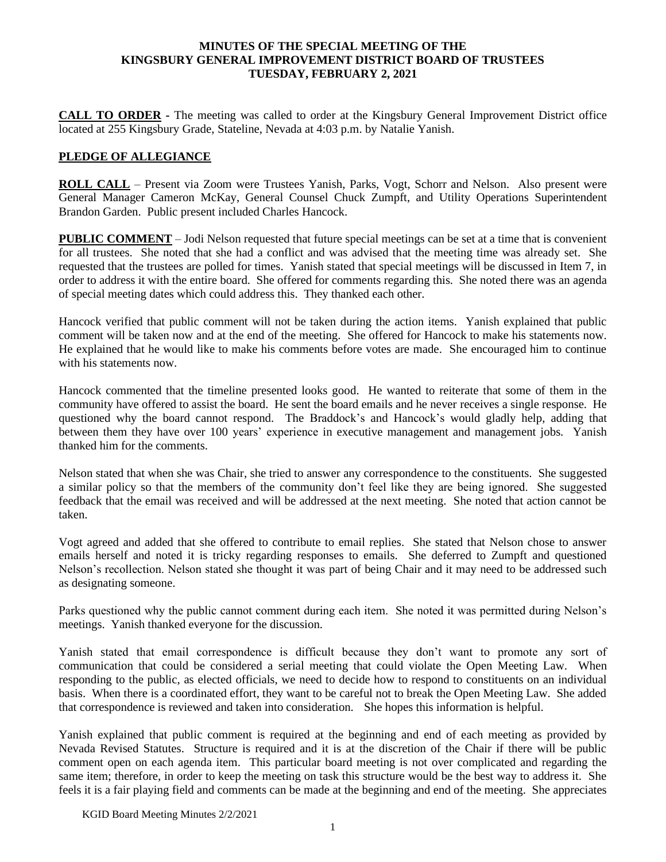#### **MINUTES OF THE SPECIAL MEETING OF THE KINGSBURY GENERAL IMPROVEMENT DISTRICT BOARD OF TRUSTEES TUESDAY, FEBRUARY 2, 2021**

**CALL TO ORDER -** The meeting was called to order at the Kingsbury General Improvement District office located at 255 Kingsbury Grade, Stateline, Nevada at 4:03 p.m. by Natalie Yanish.

## **PLEDGE OF ALLEGIANCE**

**ROLL CALL** – Present via Zoom were Trustees Yanish, Parks, Vogt, Schorr and Nelson. Also present were General Manager Cameron McKay, General Counsel Chuck Zumpft, and Utility Operations Superintendent Brandon Garden. Public present included Charles Hancock.

**PUBLIC COMMENT** – Jodi Nelson requested that future special meetings can be set at a time that is convenient for all trustees. She noted that she had a conflict and was advised that the meeting time was already set. She requested that the trustees are polled for times. Yanish stated that special meetings will be discussed in Item 7, in order to address it with the entire board. She offered for comments regarding this. She noted there was an agenda of special meeting dates which could address this. They thanked each other.

Hancock verified that public comment will not be taken during the action items. Yanish explained that public comment will be taken now and at the end of the meeting. She offered for Hancock to make his statements now. He explained that he would like to make his comments before votes are made. She encouraged him to continue with his statements now

Hancock commented that the timeline presented looks good. He wanted to reiterate that some of them in the community have offered to assist the board. He sent the board emails and he never receives a single response. He questioned why the board cannot respond. The Braddock's and Hancock's would gladly help, adding that between them they have over 100 years' experience in executive management and management jobs. Yanish thanked him for the comments.

Nelson stated that when she was Chair, she tried to answer any correspondence to the constituents. She suggested a similar policy so that the members of the community don't feel like they are being ignored. She suggested feedback that the email was received and will be addressed at the next meeting. She noted that action cannot be taken.

Vogt agreed and added that she offered to contribute to email replies. She stated that Nelson chose to answer emails herself and noted it is tricky regarding responses to emails. She deferred to Zumpft and questioned Nelson's recollection. Nelson stated she thought it was part of being Chair and it may need to be addressed such as designating someone.

Parks questioned why the public cannot comment during each item. She noted it was permitted during Nelson's meetings. Yanish thanked everyone for the discussion.

Yanish stated that email correspondence is difficult because they don't want to promote any sort of communication that could be considered a serial meeting that could violate the Open Meeting Law. When responding to the public, as elected officials, we need to decide how to respond to constituents on an individual basis. When there is a coordinated effort, they want to be careful not to break the Open Meeting Law. She added that correspondence is reviewed and taken into consideration. She hopes this information is helpful.

Yanish explained that public comment is required at the beginning and end of each meeting as provided by Nevada Revised Statutes. Structure is required and it is at the discretion of the Chair if there will be public comment open on each agenda item. This particular board meeting is not over complicated and regarding the same item; therefore, in order to keep the meeting on task this structure would be the best way to address it. She feels it is a fair playing field and comments can be made at the beginning and end of the meeting. She appreciates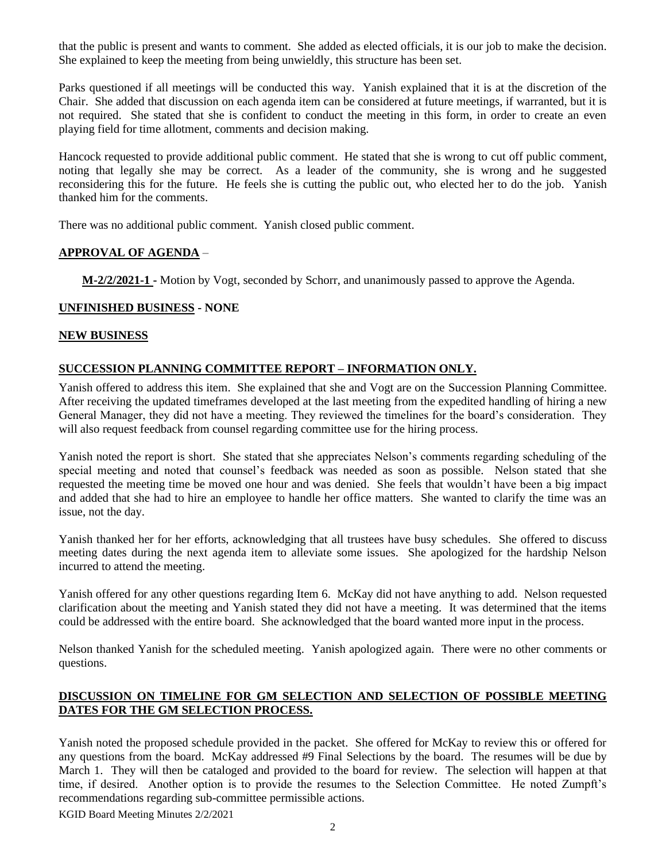that the public is present and wants to comment. She added as elected officials, it is our job to make the decision. She explained to keep the meeting from being unwieldly, this structure has been set.

Parks questioned if all meetings will be conducted this way. Yanish explained that it is at the discretion of the Chair. She added that discussion on each agenda item can be considered at future meetings, if warranted, but it is not required. She stated that she is confident to conduct the meeting in this form, in order to create an even playing field for time allotment, comments and decision making.

Hancock requested to provide additional public comment. He stated that she is wrong to cut off public comment, noting that legally she may be correct. As a leader of the community, she is wrong and he suggested reconsidering this for the future. He feels she is cutting the public out, who elected her to do the job. Yanish thanked him for the comments.

There was no additional public comment. Yanish closed public comment.

## **APPROVAL OF AGENDA** –

**M-2/2/2021-1 -** Motion by Vogt, seconded by Schorr, and unanimously passed to approve the Agenda.

## **UNFINISHED BUSINESS - NONE**

#### **NEW BUSINESS**

# **SUCCESSION PLANNING COMMITTEE REPORT – INFORMATION ONLY.**

Yanish offered to address this item. She explained that she and Vogt are on the Succession Planning Committee. After receiving the updated timeframes developed at the last meeting from the expedited handling of hiring a new General Manager, they did not have a meeting. They reviewed the timelines for the board's consideration. They will also request feedback from counsel regarding committee use for the hiring process.

Yanish noted the report is short. She stated that she appreciates Nelson's comments regarding scheduling of the special meeting and noted that counsel's feedback was needed as soon as possible. Nelson stated that she requested the meeting time be moved one hour and was denied. She feels that wouldn't have been a big impact and added that she had to hire an employee to handle her office matters. She wanted to clarify the time was an issue, not the day.

Yanish thanked her for her efforts, acknowledging that all trustees have busy schedules. She offered to discuss meeting dates during the next agenda item to alleviate some issues. She apologized for the hardship Nelson incurred to attend the meeting.

Yanish offered for any other questions regarding Item 6. McKay did not have anything to add. Nelson requested clarification about the meeting and Yanish stated they did not have a meeting. It was determined that the items could be addressed with the entire board. She acknowledged that the board wanted more input in the process.

Nelson thanked Yanish for the scheduled meeting. Yanish apologized again. There were no other comments or questions.

## **DISCUSSION ON TIMELINE FOR GM SELECTION AND SELECTION OF POSSIBLE MEETING DATES FOR THE GM SELECTION PROCESS.**

Yanish noted the proposed schedule provided in the packet. She offered for McKay to review this or offered for any questions from the board. McKay addressed #9 Final Selections by the board. The resumes will be due by March 1. They will then be cataloged and provided to the board for review. The selection will happen at that time, if desired. Another option is to provide the resumes to the Selection Committee. He noted Zumpft's recommendations regarding sub-committee permissible actions.

KGID Board Meeting Minutes 2/2/2021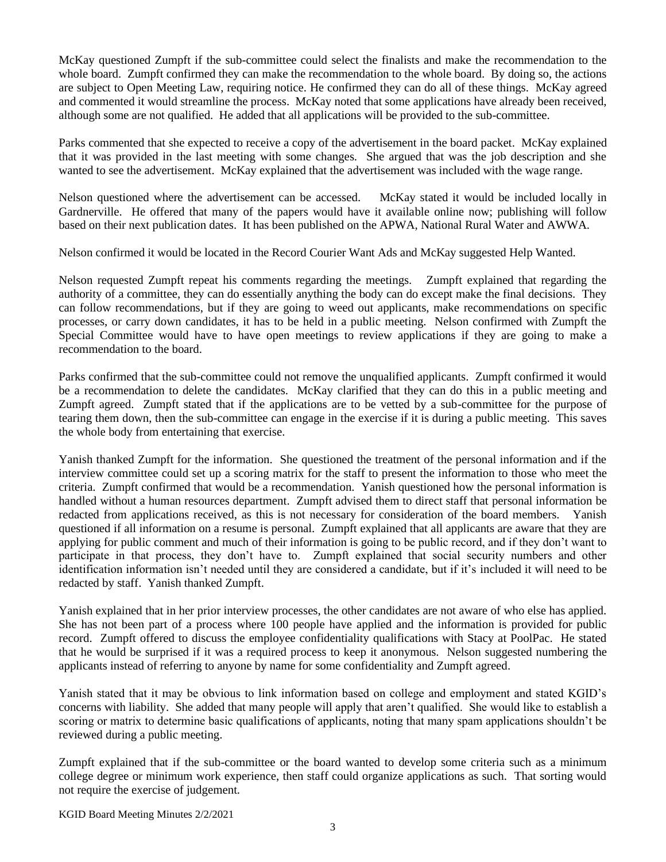McKay questioned Zumpft if the sub-committee could select the finalists and make the recommendation to the whole board. Zumpft confirmed they can make the recommendation to the whole board. By doing so, the actions are subject to Open Meeting Law, requiring notice. He confirmed they can do all of these things. McKay agreed and commented it would streamline the process. McKay noted that some applications have already been received, although some are not qualified. He added that all applications will be provided to the sub-committee.

Parks commented that she expected to receive a copy of the advertisement in the board packet. McKay explained that it was provided in the last meeting with some changes. She argued that was the job description and she wanted to see the advertisement. McKay explained that the advertisement was included with the wage range.

Nelson questioned where the advertisement can be accessed. McKay stated it would be included locally in Gardnerville. He offered that many of the papers would have it available online now; publishing will follow based on their next publication dates. It has been published on the APWA, National Rural Water and AWWA.

Nelson confirmed it would be located in the Record Courier Want Ads and McKay suggested Help Wanted.

Nelson requested Zumpft repeat his comments regarding the meetings. Zumpft explained that regarding the authority of a committee, they can do essentially anything the body can do except make the final decisions. They can follow recommendations, but if they are going to weed out applicants, make recommendations on specific processes, or carry down candidates, it has to be held in a public meeting. Nelson confirmed with Zumpft the Special Committee would have to have open meetings to review applications if they are going to make a recommendation to the board.

Parks confirmed that the sub-committee could not remove the unqualified applicants. Zumpft confirmed it would be a recommendation to delete the candidates. McKay clarified that they can do this in a public meeting and Zumpft agreed. Zumpft stated that if the applications are to be vetted by a sub-committee for the purpose of tearing them down, then the sub-committee can engage in the exercise if it is during a public meeting. This saves the whole body from entertaining that exercise.

Yanish thanked Zumpft for the information. She questioned the treatment of the personal information and if the interview committee could set up a scoring matrix for the staff to present the information to those who meet the criteria. Zumpft confirmed that would be a recommendation. Yanish questioned how the personal information is handled without a human resources department. Zumpft advised them to direct staff that personal information be redacted from applications received, as this is not necessary for consideration of the board members. Yanish questioned if all information on a resume is personal. Zumpft explained that all applicants are aware that they are applying for public comment and much of their information is going to be public record, and if they don't want to participate in that process, they don't have to. Zumpft explained that social security numbers and other identification information isn't needed until they are considered a candidate, but if it's included it will need to be redacted by staff. Yanish thanked Zumpft.

Yanish explained that in her prior interview processes, the other candidates are not aware of who else has applied. She has not been part of a process where 100 people have applied and the information is provided for public record. Zumpft offered to discuss the employee confidentiality qualifications with Stacy at PoolPac. He stated that he would be surprised if it was a required process to keep it anonymous. Nelson suggested numbering the applicants instead of referring to anyone by name for some confidentiality and Zumpft agreed.

Yanish stated that it may be obvious to link information based on college and employment and stated KGID's concerns with liability. She added that many people will apply that aren't qualified. She would like to establish a scoring or matrix to determine basic qualifications of applicants, noting that many spam applications shouldn't be reviewed during a public meeting.

Zumpft explained that if the sub-committee or the board wanted to develop some criteria such as a minimum college degree or minimum work experience, then staff could organize applications as such. That sorting would not require the exercise of judgement.

KGID Board Meeting Minutes 2/2/2021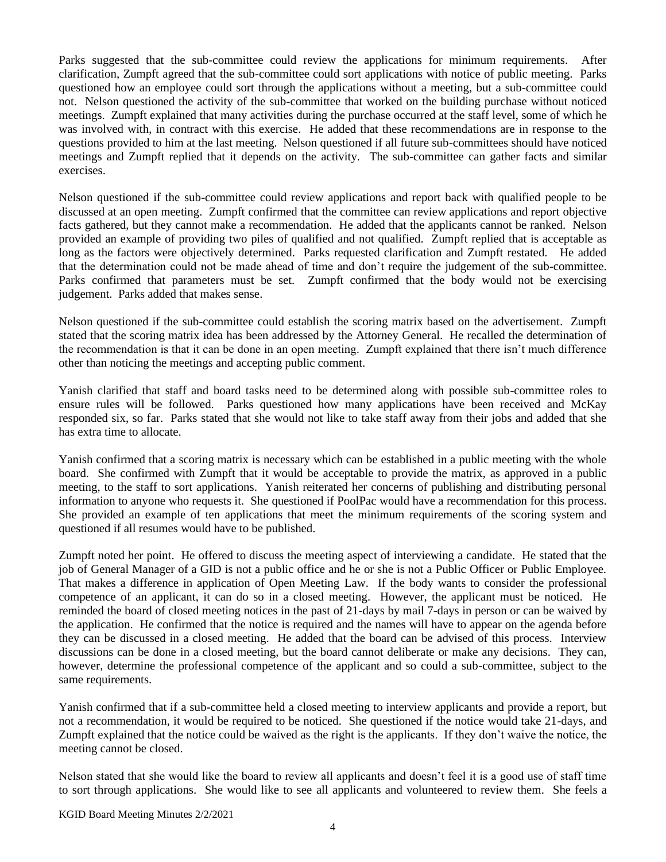Parks suggested that the sub-committee could review the applications for minimum requirements. After clarification, Zumpft agreed that the sub-committee could sort applications with notice of public meeting. Parks questioned how an employee could sort through the applications without a meeting, but a sub-committee could not. Nelson questioned the activity of the sub-committee that worked on the building purchase without noticed meetings. Zumpft explained that many activities during the purchase occurred at the staff level, some of which he was involved with, in contract with this exercise. He added that these recommendations are in response to the questions provided to him at the last meeting. Nelson questioned if all future sub-committees should have noticed meetings and Zumpft replied that it depends on the activity. The sub-committee can gather facts and similar exercises.

Nelson questioned if the sub-committee could review applications and report back with qualified people to be discussed at an open meeting. Zumpft confirmed that the committee can review applications and report objective facts gathered, but they cannot make a recommendation. He added that the applicants cannot be ranked. Nelson provided an example of providing two piles of qualified and not qualified. Zumpft replied that is acceptable as long as the factors were objectively determined. Parks requested clarification and Zumpft restated. He added that the determination could not be made ahead of time and don't require the judgement of the sub-committee. Parks confirmed that parameters must be set. Zumpft confirmed that the body would not be exercising judgement. Parks added that makes sense.

Nelson questioned if the sub-committee could establish the scoring matrix based on the advertisement. Zumpft stated that the scoring matrix idea has been addressed by the Attorney General. He recalled the determination of the recommendation is that it can be done in an open meeting. Zumpft explained that there isn't much difference other than noticing the meetings and accepting public comment.

Yanish clarified that staff and board tasks need to be determined along with possible sub-committee roles to ensure rules will be followed. Parks questioned how many applications have been received and McKay responded six, so far. Parks stated that she would not like to take staff away from their jobs and added that she has extra time to allocate.

Yanish confirmed that a scoring matrix is necessary which can be established in a public meeting with the whole board. She confirmed with Zumpft that it would be acceptable to provide the matrix, as approved in a public meeting, to the staff to sort applications. Yanish reiterated her concerns of publishing and distributing personal information to anyone who requests it. She questioned if PoolPac would have a recommendation for this process. She provided an example of ten applications that meet the minimum requirements of the scoring system and questioned if all resumes would have to be published.

Zumpft noted her point. He offered to discuss the meeting aspect of interviewing a candidate. He stated that the job of General Manager of a GID is not a public office and he or she is not a Public Officer or Public Employee. That makes a difference in application of Open Meeting Law. If the body wants to consider the professional competence of an applicant, it can do so in a closed meeting. However, the applicant must be noticed. He reminded the board of closed meeting notices in the past of 21-days by mail 7-days in person or can be waived by the application. He confirmed that the notice is required and the names will have to appear on the agenda before they can be discussed in a closed meeting. He added that the board can be advised of this process. Interview discussions can be done in a closed meeting, but the board cannot deliberate or make any decisions. They can, however, determine the professional competence of the applicant and so could a sub-committee, subject to the same requirements.

Yanish confirmed that if a sub-committee held a closed meeting to interview applicants and provide a report, but not a recommendation, it would be required to be noticed. She questioned if the notice would take 21-days, and Zumpft explained that the notice could be waived as the right is the applicants. If they don't waive the notice, the meeting cannot be closed.

Nelson stated that she would like the board to review all applicants and doesn't feel it is a good use of staff time to sort through applications. She would like to see all applicants and volunteered to review them. She feels a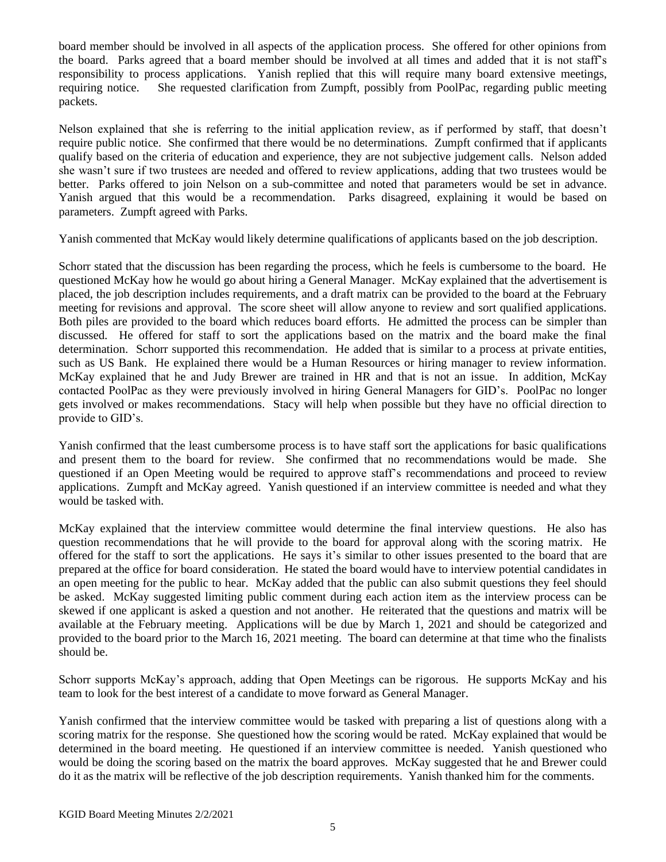board member should be involved in all aspects of the application process. She offered for other opinions from the board. Parks agreed that a board member should be involved at all times and added that it is not staff's responsibility to process applications. Yanish replied that this will require many board extensive meetings, requiring notice. She requested clarification from Zumpft, possibly from PoolPac, regarding public meeting packets.

Nelson explained that she is referring to the initial application review, as if performed by staff, that doesn't require public notice. She confirmed that there would be no determinations. Zumpft confirmed that if applicants qualify based on the criteria of education and experience, they are not subjective judgement calls. Nelson added she wasn't sure if two trustees are needed and offered to review applications, adding that two trustees would be better. Parks offered to join Nelson on a sub-committee and noted that parameters would be set in advance. Yanish argued that this would be a recommendation. Parks disagreed, explaining it would be based on parameters. Zumpft agreed with Parks.

Yanish commented that McKay would likely determine qualifications of applicants based on the job description.

Schorr stated that the discussion has been regarding the process, which he feels is cumbersome to the board. He questioned McKay how he would go about hiring a General Manager. McKay explained that the advertisement is placed, the job description includes requirements, and a draft matrix can be provided to the board at the February meeting for revisions and approval. The score sheet will allow anyone to review and sort qualified applications. Both piles are provided to the board which reduces board efforts. He admitted the process can be simpler than discussed. He offered for staff to sort the applications based on the matrix and the board make the final determination. Schorr supported this recommendation. He added that is similar to a process at private entities, such as US Bank. He explained there would be a Human Resources or hiring manager to review information. McKay explained that he and Judy Brewer are trained in HR and that is not an issue. In addition, McKay contacted PoolPac as they were previously involved in hiring General Managers for GID's. PoolPac no longer gets involved or makes recommendations. Stacy will help when possible but they have no official direction to provide to GID's.

Yanish confirmed that the least cumbersome process is to have staff sort the applications for basic qualifications and present them to the board for review. She confirmed that no recommendations would be made. She questioned if an Open Meeting would be required to approve staff's recommendations and proceed to review applications. Zumpft and McKay agreed. Yanish questioned if an interview committee is needed and what they would be tasked with.

McKay explained that the interview committee would determine the final interview questions. He also has question recommendations that he will provide to the board for approval along with the scoring matrix. He offered for the staff to sort the applications. He says it's similar to other issues presented to the board that are prepared at the office for board consideration. He stated the board would have to interview potential candidates in an open meeting for the public to hear. McKay added that the public can also submit questions they feel should be asked. McKay suggested limiting public comment during each action item as the interview process can be skewed if one applicant is asked a question and not another. He reiterated that the questions and matrix will be available at the February meeting. Applications will be due by March 1, 2021 and should be categorized and provided to the board prior to the March 16, 2021 meeting. The board can determine at that time who the finalists should be.

Schorr supports McKay's approach, adding that Open Meetings can be rigorous. He supports McKay and his team to look for the best interest of a candidate to move forward as General Manager.

Yanish confirmed that the interview committee would be tasked with preparing a list of questions along with a scoring matrix for the response. She questioned how the scoring would be rated. McKay explained that would be determined in the board meeting. He questioned if an interview committee is needed. Yanish questioned who would be doing the scoring based on the matrix the board approves. McKay suggested that he and Brewer could do it as the matrix will be reflective of the job description requirements. Yanish thanked him for the comments.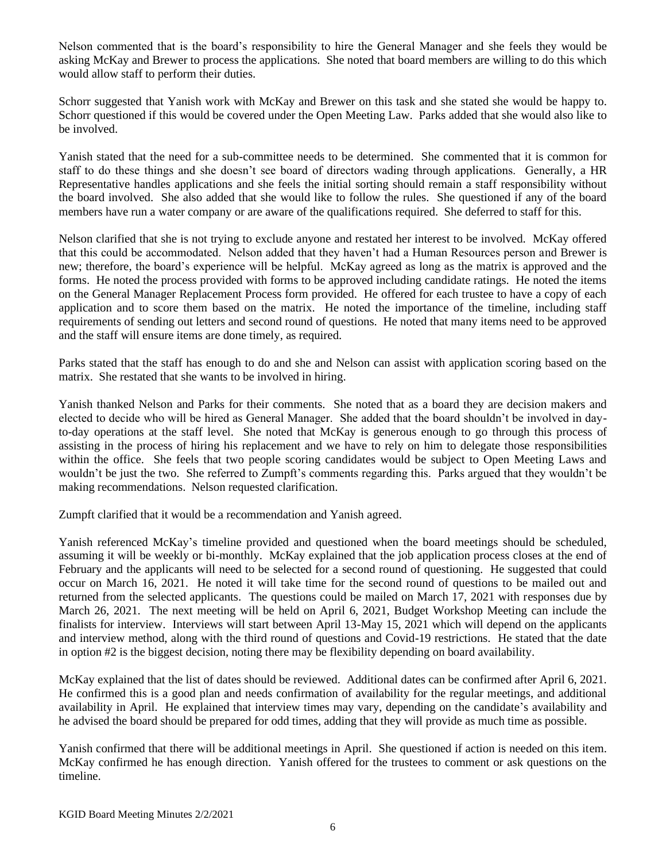Nelson commented that is the board's responsibility to hire the General Manager and she feels they would be asking McKay and Brewer to process the applications. She noted that board members are willing to do this which would allow staff to perform their duties.

Schorr suggested that Yanish work with McKay and Brewer on this task and she stated she would be happy to. Schorr questioned if this would be covered under the Open Meeting Law. Parks added that she would also like to be involved.

Yanish stated that the need for a sub-committee needs to be determined. She commented that it is common for staff to do these things and she doesn't see board of directors wading through applications. Generally, a HR Representative handles applications and she feels the initial sorting should remain a staff responsibility without the board involved. She also added that she would like to follow the rules. She questioned if any of the board members have run a water company or are aware of the qualifications required. She deferred to staff for this.

Nelson clarified that she is not trying to exclude anyone and restated her interest to be involved. McKay offered that this could be accommodated. Nelson added that they haven't had a Human Resources person and Brewer is new; therefore, the board's experience will be helpful. McKay agreed as long as the matrix is approved and the forms. He noted the process provided with forms to be approved including candidate ratings. He noted the items on the General Manager Replacement Process form provided. He offered for each trustee to have a copy of each application and to score them based on the matrix. He noted the importance of the timeline, including staff requirements of sending out letters and second round of questions. He noted that many items need to be approved and the staff will ensure items are done timely, as required.

Parks stated that the staff has enough to do and she and Nelson can assist with application scoring based on the matrix. She restated that she wants to be involved in hiring.

Yanish thanked Nelson and Parks for their comments. She noted that as a board they are decision makers and elected to decide who will be hired as General Manager. She added that the board shouldn't be involved in dayto-day operations at the staff level. She noted that McKay is generous enough to go through this process of assisting in the process of hiring his replacement and we have to rely on him to delegate those responsibilities within the office. She feels that two people scoring candidates would be subject to Open Meeting Laws and wouldn't be just the two. She referred to Zumpft's comments regarding this. Parks argued that they wouldn't be making recommendations. Nelson requested clarification.

Zumpft clarified that it would be a recommendation and Yanish agreed.

Yanish referenced McKay's timeline provided and questioned when the board meetings should be scheduled, assuming it will be weekly or bi-monthly. McKay explained that the job application process closes at the end of February and the applicants will need to be selected for a second round of questioning. He suggested that could occur on March 16, 2021. He noted it will take time for the second round of questions to be mailed out and returned from the selected applicants. The questions could be mailed on March 17, 2021 with responses due by March 26, 2021. The next meeting will be held on April 6, 2021, Budget Workshop Meeting can include the finalists for interview. Interviews will start between April 13-May 15, 2021 which will depend on the applicants and interview method, along with the third round of questions and Covid-19 restrictions. He stated that the date in option #2 is the biggest decision, noting there may be flexibility depending on board availability.

McKay explained that the list of dates should be reviewed. Additional dates can be confirmed after April 6, 2021. He confirmed this is a good plan and needs confirmation of availability for the regular meetings, and additional availability in April. He explained that interview times may vary, depending on the candidate's availability and he advised the board should be prepared for odd times, adding that they will provide as much time as possible.

Yanish confirmed that there will be additional meetings in April. She questioned if action is needed on this item. McKay confirmed he has enough direction. Yanish offered for the trustees to comment or ask questions on the timeline.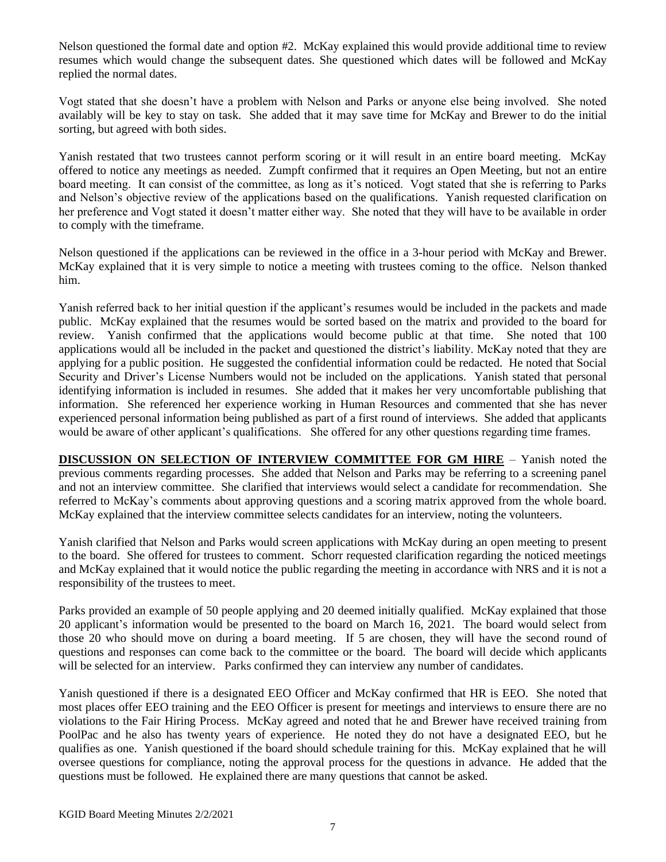Nelson questioned the formal date and option #2. McKay explained this would provide additional time to review resumes which would change the subsequent dates. She questioned which dates will be followed and McKay replied the normal dates.

Vogt stated that she doesn't have a problem with Nelson and Parks or anyone else being involved. She noted availably will be key to stay on task. She added that it may save time for McKay and Brewer to do the initial sorting, but agreed with both sides.

Yanish restated that two trustees cannot perform scoring or it will result in an entire board meeting. McKay offered to notice any meetings as needed. Zumpft confirmed that it requires an Open Meeting, but not an entire board meeting. It can consist of the committee, as long as it's noticed. Vogt stated that she is referring to Parks and Nelson's objective review of the applications based on the qualifications. Yanish requested clarification on her preference and Vogt stated it doesn't matter either way. She noted that they will have to be available in order to comply with the timeframe.

Nelson questioned if the applications can be reviewed in the office in a 3-hour period with McKay and Brewer. McKay explained that it is very simple to notice a meeting with trustees coming to the office. Nelson thanked him.

Yanish referred back to her initial question if the applicant's resumes would be included in the packets and made public. McKay explained that the resumes would be sorted based on the matrix and provided to the board for review. Yanish confirmed that the applications would become public at that time. She noted that 100 applications would all be included in the packet and questioned the district's liability. McKay noted that they are applying for a public position. He suggested the confidential information could be redacted. He noted that Social Security and Driver's License Numbers would not be included on the applications. Yanish stated that personal identifying information is included in resumes. She added that it makes her very uncomfortable publishing that information. She referenced her experience working in Human Resources and commented that she has never experienced personal information being published as part of a first round of interviews. She added that applicants would be aware of other applicant's qualifications. She offered for any other questions regarding time frames.

**DISCUSSION ON SELECTION OF INTERVIEW COMMITTEE FOR GM HIRE** – Yanish noted the previous comments regarding processes. She added that Nelson and Parks may be referring to a screening panel and not an interview committee. She clarified that interviews would select a candidate for recommendation. She referred to McKay's comments about approving questions and a scoring matrix approved from the whole board. McKay explained that the interview committee selects candidates for an interview, noting the volunteers.

Yanish clarified that Nelson and Parks would screen applications with McKay during an open meeting to present to the board. She offered for trustees to comment. Schorr requested clarification regarding the noticed meetings and McKay explained that it would notice the public regarding the meeting in accordance with NRS and it is not a responsibility of the trustees to meet.

Parks provided an example of 50 people applying and 20 deemed initially qualified. McKay explained that those 20 applicant's information would be presented to the board on March 16, 2021. The board would select from those 20 who should move on during a board meeting. If 5 are chosen, they will have the second round of questions and responses can come back to the committee or the board. The board will decide which applicants will be selected for an interview. Parks confirmed they can interview any number of candidates.

Yanish questioned if there is a designated EEO Officer and McKay confirmed that HR is EEO. She noted that most places offer EEO training and the EEO Officer is present for meetings and interviews to ensure there are no violations to the Fair Hiring Process. McKay agreed and noted that he and Brewer have received training from PoolPac and he also has twenty years of experience. He noted they do not have a designated EEO, but he qualifies as one. Yanish questioned if the board should schedule training for this. McKay explained that he will oversee questions for compliance, noting the approval process for the questions in advance. He added that the questions must be followed. He explained there are many questions that cannot be asked.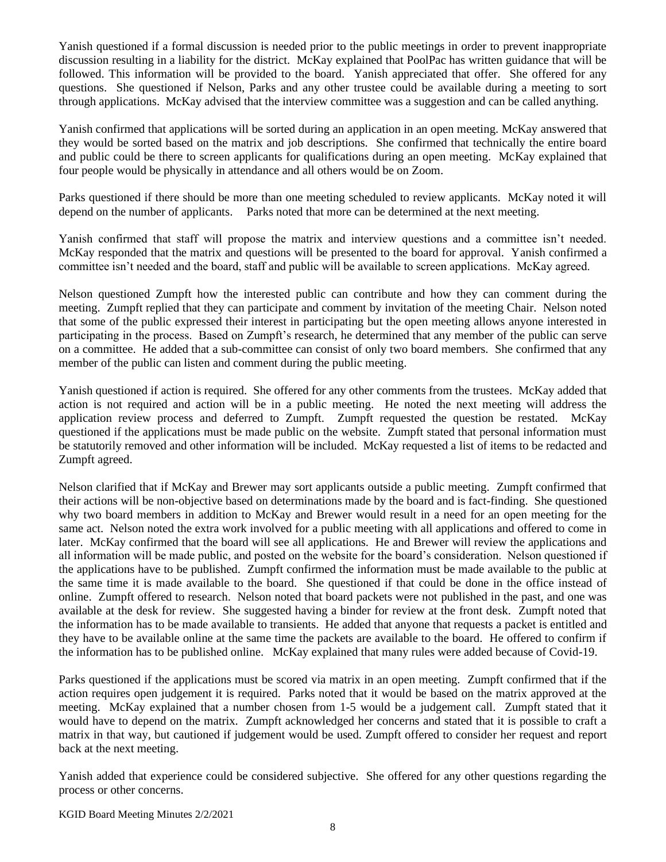Yanish questioned if a formal discussion is needed prior to the public meetings in order to prevent inappropriate discussion resulting in a liability for the district. McKay explained that PoolPac has written guidance that will be followed. This information will be provided to the board. Yanish appreciated that offer. She offered for any questions. She questioned if Nelson, Parks and any other trustee could be available during a meeting to sort through applications. McKay advised that the interview committee was a suggestion and can be called anything.

Yanish confirmed that applications will be sorted during an application in an open meeting. McKay answered that they would be sorted based on the matrix and job descriptions. She confirmed that technically the entire board and public could be there to screen applicants for qualifications during an open meeting. McKay explained that four people would be physically in attendance and all others would be on Zoom.

Parks questioned if there should be more than one meeting scheduled to review applicants. McKay noted it will depend on the number of applicants. Parks noted that more can be determined at the next meeting.

Yanish confirmed that staff will propose the matrix and interview questions and a committee isn't needed. McKay responded that the matrix and questions will be presented to the board for approval. Yanish confirmed a committee isn't needed and the board, staff and public will be available to screen applications. McKay agreed.

Nelson questioned Zumpft how the interested public can contribute and how they can comment during the meeting. Zumpft replied that they can participate and comment by invitation of the meeting Chair. Nelson noted that some of the public expressed their interest in participating but the open meeting allows anyone interested in participating in the process. Based on Zumpft's research, he determined that any member of the public can serve on a committee. He added that a sub-committee can consist of only two board members. She confirmed that any member of the public can listen and comment during the public meeting.

Yanish questioned if action is required. She offered for any other comments from the trustees. McKay added that action is not required and action will be in a public meeting. He noted the next meeting will address the application review process and deferred to Zumpft. Zumpft requested the question be restated. McKay questioned if the applications must be made public on the website. Zumpft stated that personal information must be statutorily removed and other information will be included. McKay requested a list of items to be redacted and Zumpft agreed.

Nelson clarified that if McKay and Brewer may sort applicants outside a public meeting. Zumpft confirmed that their actions will be non-objective based on determinations made by the board and is fact-finding. She questioned why two board members in addition to McKay and Brewer would result in a need for an open meeting for the same act. Nelson noted the extra work involved for a public meeting with all applications and offered to come in later. McKay confirmed that the board will see all applications. He and Brewer will review the applications and all information will be made public, and posted on the website for the board's consideration. Nelson questioned if the applications have to be published. Zumpft confirmed the information must be made available to the public at the same time it is made available to the board. She questioned if that could be done in the office instead of online. Zumpft offered to research. Nelson noted that board packets were not published in the past, and one was available at the desk for review. She suggested having a binder for review at the front desk. Zumpft noted that the information has to be made available to transients. He added that anyone that requests a packet is entitled and they have to be available online at the same time the packets are available to the board. He offered to confirm if the information has to be published online. McKay explained that many rules were added because of Covid-19.

Parks questioned if the applications must be scored via matrix in an open meeting. Zumpft confirmed that if the action requires open judgement it is required. Parks noted that it would be based on the matrix approved at the meeting. McKay explained that a number chosen from 1-5 would be a judgement call. Zumpft stated that it would have to depend on the matrix. Zumpft acknowledged her concerns and stated that it is possible to craft a matrix in that way, but cautioned if judgement would be used. Zumpft offered to consider her request and report back at the next meeting.

Yanish added that experience could be considered subjective. She offered for any other questions regarding the process or other concerns.

KGID Board Meeting Minutes 2/2/2021